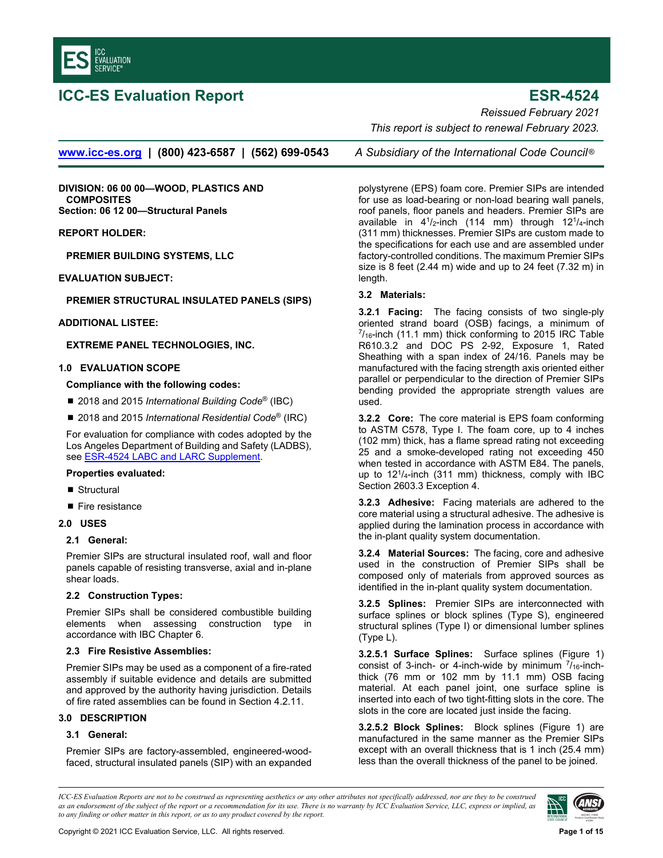<span id="page-0-0"></span>

# **ICC-ES Evaluation Report ESR-4524**

*Reissued February 2021 This report is subject to renewal February 2023.* 

**[www.icc-es.org](http://www.icc-es.org/) | (800) 423-6587 | (562) 699-0543** *A Subsidiary of the International Code Council* ®

**DIVISION: 06 00 00—WOOD, PLASTICS AND COMPOSITES Section: 06 12 00—Structural Panels** 

# **REPORT HOLDER:**

**PREMIER BUILDING SYSTEMS, LLC** 

# **EVALUATION SUBJECT:**

# **PREMIER STRUCTURAL INSULATED PANELS (SIPS)**

# **ADDITIONAL LISTEE:**

**EXTREME PANEL TECHNOLOGIES, INC.**

# **1.0 EVALUATION SCOPE**

# **Compliance with the following codes:**

- 2018 and 2015 *International Building Code<sup>®</sup>* (IBC)
- 2018 and 2015 *International Residential Code®* (IRC)

For evaluation for compliance with codes adopted by the Los Angeles Department of Building and Safety (LADBS), see **ESR-4524 LABC and LARC Supplement**.

#### **Properties evaluated:**

- Structural
- Fire resistance

# **2.0 USES**

# **2.1 General:**

Premier SIPs are structural insulated roof, wall and floor panels capable of resisting transverse, axial and in-plane shear loads.

# **2.2 Construction Types:**

Premier SIPs shall be considered combustible building elements when assessing construction type in accordance with IBC Chapter 6.

#### **2.3 Fire Resistive Assemblies:**

Premier SIPs may be used as a component of a fire-rated assembly if suitable evidence and details are submitted and approved by the authority having jurisdiction. Details of fire rated assemblies can be found in Section 4.2.11.

# **3.0 DESCRIPTION**

# **3.1 General:**

Premier SIPs are factory-assembled, engineered-woodfaced, structural insulated panels (SIP) with an expanded

polystyrene (EPS) foam core. Premier SIPs are intended for use as load-bearing or non-load bearing wall panels, roof panels, floor panels and headers. Premier SIPs are available in  $4^{1}/_{2}$ -inch (114 mm) through 12<sup>1</sup>/<sub>4</sub>-inch (311 mm) thicknesses. Premier SIPs are custom made to the specifications for each use and are assembled under factory-controlled conditions. The maximum Premier SIPs size is 8 feet (2.44 m) wide and up to 24 feet (7.32 m) in length.

# **3.2 Materials:**

**3.2.1 Facing:** The facing consists of two single-ply oriented strand board (OSB) facings, a minimum of  $7/16$ -inch (11.1 mm) thick conforming to 2015 IRC Table R610.3.2 and DOC PS 2-92, Exposure 1, Rated Sheathing with a span index of 24/16. Panels may be manufactured with the facing strength axis oriented either parallel or perpendicular to the direction of Premier SIPs bending provided the appropriate strength values are used.

**3.2.2 Core:** The core material is EPS foam conforming to ASTM C578, Type I. The foam core, up to 4 inches (102 mm) thick, has a flame spread rating not exceeding 25 and a smoke-developed rating not exceeding 450 when tested in accordance with ASTM E84. The panels, up to  $12^{1}/_{4}$ -inch (311 mm) thickness, comply with IBC Section 2603.3 Exception 4.

**3.2.3 Adhesive:** Facing materials are adhered to the core material using a structural adhesive. The adhesive is applied during the lamination process in accordance with the in-plant quality system documentation.

**3.2.4 Material Sources:** The facing, core and adhesive used in the construction of Premier SIPs shall be composed only of materials from approved sources as identified in the in-plant quality system documentation.

**3.2.5 Splines:** Premier SIPs are interconnected with surface splines or block splines (Type S), engineered structural splines (Type I) or dimensional lumber splines (Type L).

**3.2.5.1 Surface Splines:** Surface splines (Figure 1) consist of 3-inch- or 4-inch-wide by minimum  $\frac{7}{16}$ -inchthick (76 mm or 102 mm by 11.1 mm) OSB facing material. At each panel joint, one surface spline is inserted into each of two tight-fitting slots in the core. The slots in the core are located just inside the facing.

**3.2.5.2 Block Splines:** Block splines (Figure 1) are manufactured in the same manner as the Premier SIPs except with an overall thickness that is 1 inch (25.4 mm) less than the overall thickness of the panel to be joined.

*ICC-ES Evaluation Reports are not to be construed as representing aesthetics or any other attributes not specifically addressed, nor are they to be construed as an endorsement of the subject of the report or a recommendation for its use. There is no warranty by ICC Evaluation Service, LLC, express or implied, as to any finding or other matter in this report, or as to any product covered by the report.*

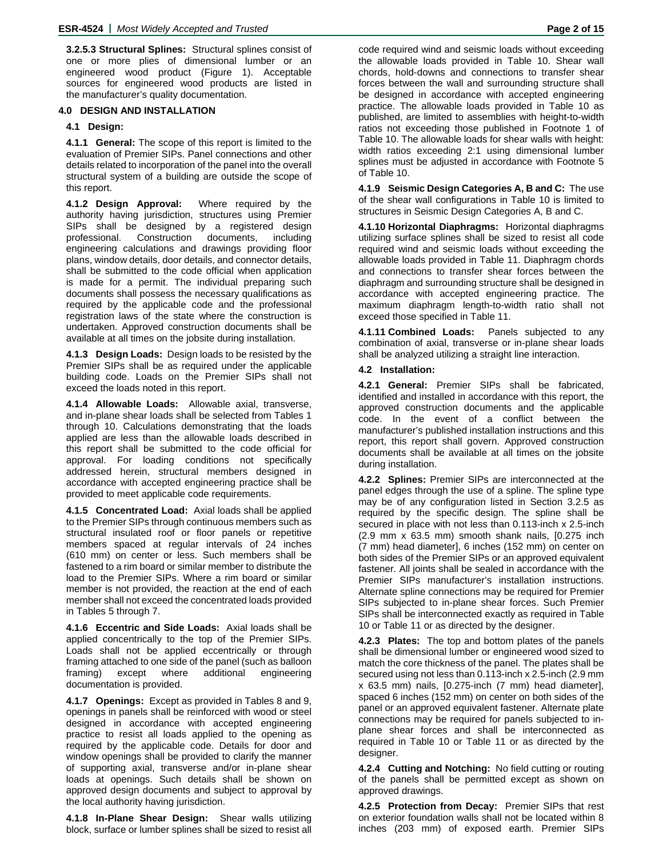**3.2.5.3 Structural Splines:** Structural splines consist of one or more plies of dimensional lumber or an engineered wood product (Figure 1). Acceptable sources for engineered wood products are listed in the manufacturer's quality documentation.

# **4.0 DESIGN AND INSTALLATION**

# **4.1 Design:**

**4.1.1 General:** The scope of this report is limited to the evaluation of Premier SIPs. Panel connections and other details related to incorporation of the panel into the overall structural system of a building are outside the scope of this report.

**4.1.2 Design Approval:** Where required by the authority having jurisdiction, structures using Premier SIPs shall be designed by a registered design professional. Construction documents, including engineering calculations and drawings providing floor plans, window details, door details, and connector details, shall be submitted to the code official when application is made for a permit. The individual preparing such documents shall possess the necessary qualifications as required by the applicable code and the professional registration laws of the state where the construction is undertaken. Approved construction documents shall be available at all times on the jobsite during installation.

**4.1.3 Design Loads:** Design loads to be resisted by the Premier SIPs shall be as required under the applicable building code. Loads on the Premier SIPs shall not exceed the loads noted in this report.

**4.1.4 Allowable Loads:** Allowable axial, transverse, and in-plane shear loads shall be selected from Tables 1 through 10. Calculations demonstrating that the loads applied are less than the allowable loads described in this report shall be submitted to the code official for approval. For loading conditions not specifically addressed herein, structural members designed in accordance with accepted engineering practice shall be provided to meet applicable code requirements.

**4.1.5 Concentrated Load:** Axial loads shall be applied to the Premier SIPs through continuous members such as structural insulated roof or floor panels or repetitive members spaced at regular intervals of 24 inches (610 mm) on center or less. Such members shall be fastened to a rim board or similar member to distribute the load to the Premier SIPs. Where a rim board or similar member is not provided, the reaction at the end of each member shall not exceed the concentrated loads provided in Tables 5 through 7.

**4.1.6 Eccentric and Side Loads:** Axial loads shall be applied concentrically to the top of the Premier SIPs. Loads shall not be applied eccentrically or through framing attached to one side of the panel (such as balloon<br>framing) except where additional engineering except where additional engineering documentation is provided.

**4.1.7 Openings:** Except as provided in Tables 8 and 9, openings in panels shall be reinforced with wood or steel designed in accordance with accepted engineering practice to resist all loads applied to the opening as required by the applicable code. Details for door and window openings shall be provided to clarify the manner of supporting axial, transverse and/or in-plane shear loads at openings. Such details shall be shown on approved design documents and subject to approval by the local authority having jurisdiction.

**4.1.8 In-Plane Shear Design:** Shear walls utilizing block, surface or lumber splines shall be sized to resist all code required wind and seismic loads without exceeding the allowable loads provided in Table 10. Shear wall chords, hold-downs and connections to transfer shear forces between the wall and surrounding structure shall be designed in accordance with accepted engineering practice. The allowable loads provided in Table 10 as published, are limited to assemblies with height-to-width ratios not exceeding those published in Footnote 1 of Table 10. The allowable loads for shear walls with height: width ratios exceeding 2:1 using dimensional lumber splines must be adjusted in accordance with Footnote 5 of Table 10.

**4.1.9 Seismic Design Categories A, B and C:** The use of the shear wall configurations in Table 10 is limited to structures in Seismic Design Categories A, B and C.

**4.1.10 Horizontal Diaphragms:** Horizontal diaphragms utilizing surface splines shall be sized to resist all code required wind and seismic loads without exceeding the allowable loads provided in Table 11. Diaphragm chords and connections to transfer shear forces between the diaphragm and surrounding structure shall be designed in accordance with accepted engineering practice. The maximum diaphragm length-to-width ratio shall not exceed those specified in Table 11.

**4.1.11 Combined Loads:** Panels subjected to any combination of axial, transverse or in-plane shear loads shall be analyzed utilizing a straight line interaction.

# **4.2 Installation:**

**4.2.1 General:** Premier SIPs shall be fabricated, identified and installed in accordance with this report, the approved construction documents and the applicable code. In the event of a conflict between the manufacturer's published installation instructions and this report, this report shall govern. Approved construction documents shall be available at all times on the jobsite during installation.

**4.2.2 Splines:** Premier SIPs are interconnected at the panel edges through the use of a spline. The spline type may be of any configuration listed in Section 3.2.5 as required by the specific design. The spline shall be secured in place with not less than 0.113-inch x 2.5-inch (2.9 mm x 63.5 mm) smooth shank nails, [0.275 inch (7 mm) head diameter], 6 inches (152 mm) on center on both sides of the Premier SIPs or an approved equivalent fastener. All joints shall be sealed in accordance with the Premier SIPs manufacturer's installation instructions. Alternate spline connections may be required for Premier SIPs subjected to in-plane shear forces. Such Premier SIPs shall be interconnected exactly as required in Table 10 or Table 11 or as directed by the designer.

**4.2.3 Plates:** The top and bottom plates of the panels shall be dimensional lumber or engineered wood sized to match the core thickness of the panel. The plates shall be secured using not less than 0.113-inch x 2.5-inch (2.9 mm x 63.5 mm) nails, [0.275-inch (7 mm) head diameter], spaced 6 inches (152 mm) on center on both sides of the panel or an approved equivalent fastener. Alternate plate connections may be required for panels subjected to inplane shear forces and shall be interconnected as required in Table 10 or Table 11 or as directed by the designer.

**4.2.4 Cutting and Notching:** No field cutting or routing of the panels shall be permitted except as shown on approved drawings.

**4.2.5 Protection from Decay:** Premier SIPs that rest on exterior foundation walls shall not be located within 8 inches (203 mm) of exposed earth. Premier SIPs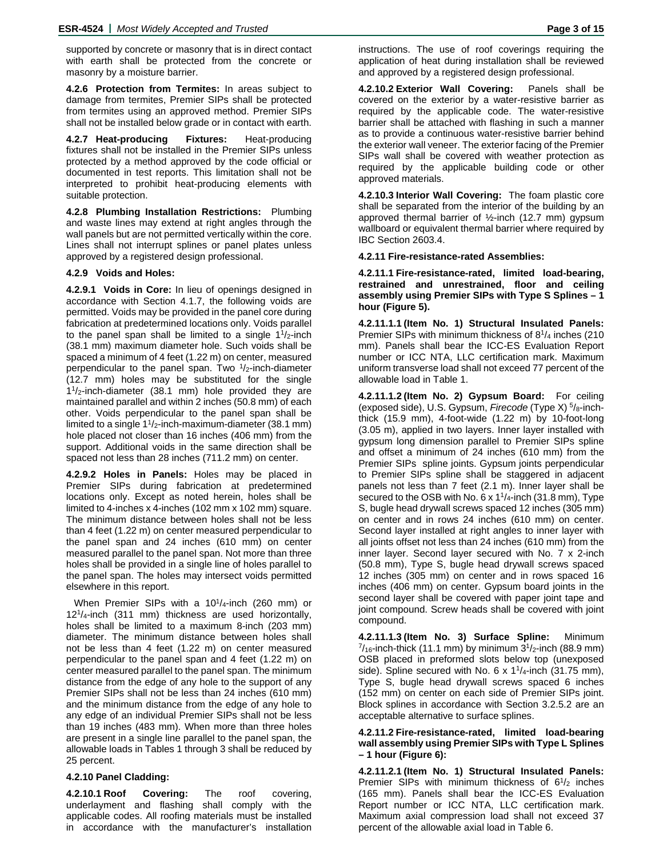supported by concrete or masonry that is in direct contact with earth shall be protected from the concrete or masonry by a moisture barrier.

**4.2.6 Protection from Termites:** In areas subject to damage from termites, Premier SIPs shall be protected from termites using an approved method. Premier SIPs shall not be installed below grade or in contact with earth.

**4.2.7 Heat-producing Fixtures:** Heat-producing fixtures shall not be installed in the Premier SIPs unless protected by a method approved by the code official or documented in test reports. This limitation shall not be interpreted to prohibit heat-producing elements with suitable protection.

**4.2.8 Plumbing Installation Restrictions:** Plumbing and waste lines may extend at right angles through the wall panels but are not permitted vertically within the core. Lines shall not interrupt splines or panel plates unless approved by a registered design professional.

# **4.2.9 Voids and Holes:**

**4.2.9.1 Voids in Core:** In lieu of openings designed in accordance with Section 4.1.7, the following voids are permitted. Voids may be provided in the panel core during fabrication at predetermined locations only. Voids parallel to the panel span shall be limited to a single  $1\frac{1}{2}$ -inch (38.1 mm) maximum diameter hole. Such voids shall be spaced a minimum of 4 feet (1.22 m) on center, measured perpendicular to the panel span. Two  $1/2$ -inch-diameter (12.7 mm) holes may be substituted for the single  $1<sup>1</sup>/2$ -inch-diameter (38.1 mm) hole provided they are maintained parallel and within 2 inches (50.8 mm) of each other. Voids perpendicular to the panel span shall be limited to a single  $1\frac{1}{2}$ -inch-maximum-diameter (38.1 mm) hole placed not closer than 16 inches (406 mm) from the support. Additional voids in the same direction shall be spaced not less than 28 inches (711.2 mm) on center.

**4.2.9.2 Holes in Panels:** Holes may be placed in Premier SIPs during fabrication at predetermined locations only. Except as noted herein, holes shall be limited to 4-inches x 4-inches (102 mm x 102 mm) square. The minimum distance between holes shall not be less than 4 feet (1.22 m) on center measured perpendicular to the panel span and 24 inches (610 mm) on center measured parallel to the panel span. Not more than three holes shall be provided in a single line of holes parallel to the panel span. The holes may intersect voids permitted elsewhere in this report.

When Premier SIPs with a 101/4-inch (260 mm) or 121/4-inch (311 mm) thickness are used horizontally, holes shall be limited to a maximum 8-inch (203 mm) diameter. The minimum distance between holes shall not be less than 4 feet (1.22 m) on center measured perpendicular to the panel span and 4 feet (1.22 m) on center measured parallel to the panel span. The minimum distance from the edge of any hole to the support of any Premier SIPs shall not be less than 24 inches (610 mm) and the minimum distance from the edge of any hole to any edge of an individual Premier SIPs shall not be less than 19 inches (483 mm). When more than three holes are present in a single line parallel to the panel span, the allowable loads in Tables 1 through 3 shall be reduced by 25 percent.

# **4.2.10 Panel Cladding:**

**4.2.10.1 Roof Covering:** The roof covering, underlayment and flashing shall comply with the applicable codes. All roofing materials must be installed in accordance with the manufacturer's installation instructions. The use of roof coverings requiring the application of heat during installation shall be reviewed and approved by a registered design professional.

**4.2.10.2 Exterior Wall Covering:** Panels shall be covered on the exterior by a water-resistive barrier as required by the applicable code. The water-resistive barrier shall be attached with flashing in such a manner as to provide a continuous water-resistive barrier behind the exterior wall veneer. The exterior facing of the Premier SIPs wall shall be covered with weather protection as required by the applicable building code or other approved materials.

**4.2.10.3 Interior Wall Covering:** The foam plastic core shall be separated from the interior of the building by an approved thermal barrier of ½-inch (12.7 mm) gypsum wallboard or equivalent thermal barrier where required by IBC Section 2603.4.

#### **4.2.11 Fire-resistance-rated Assemblies:**

**4.2.11.1 Fire-resistance-rated, limited load-bearing, restrained and unrestrained, floor and ceiling assembly using Premier SIPs with Type S Splines – 1 hour (Figure 5).**

**4.2.11.1.1 (Item No. 1) Structural Insulated Panels:**  Premier SIPs with minimum thickness of 8<sup>1</sup>/<sub>4</sub> inches (210) mm). Panels shall bear the ICC-ES Evaluation Report number or ICC NTA, LLC certification mark. Maximum uniform transverse load shall not exceed 77 percent of the allowable load in Table 1.

**4.2.11.1.2 (Item No. 2) Gypsum Board:** For ceiling (exposed side), U.S. Gypsum, *Firecode* (Type X) 5/8-inchthick (15.9 mm), 4-foot-wide (1.22 m) by 10-foot-long (3.05 m), applied in two layers. Inner layer installed with gypsum long dimension parallel to Premier SIPs spline and offset a minimum of 24 inches (610 mm) from the Premier SIPs spline joints. Gypsum joints perpendicular to Premier SIPs spline shall be staggered in adjacent panels not less than 7 feet (2.1 m). Inner layer shall be secured to the OSB with No.  $6 \times 1^{1}/_{4}$ -inch (31.8 mm), Type S, bugle head drywall screws spaced 12 inches (305 mm) on center and in rows 24 inches (610 mm) on center. Second layer installed at right angles to inner layer with all joints offset not less than 24 inches (610 mm) from the inner layer. Second layer secured with No. 7 x 2-inch (50.8 mm), Type S, bugle head drywall screws spaced 12 inches (305 mm) on center and in rows spaced 16 inches (406 mm) on center. Gypsum board joints in the second layer shall be covered with paper joint tape and joint compound. Screw heads shall be covered with joint compound.

**4.2.11.1.3 (Item No. 3) Surface Spline:** Minimum 7/16-inch-thick (11.1 mm) by minimum 31/2-inch (88.9 mm) OSB placed in preformed slots below top (unexposed side). Spline secured with No.  $6 \times 1^{1}/_{4}$ -inch (31.75 mm), Type S, bugle head drywall screws spaced 6 inches (152 mm) on center on each side of Premier SIPs joint. Block splines in accordance with Section 3.2.5.2 are an acceptable alternative to surface splines.

**4.2.11.2 Fire-resistance-rated, limited load-bearing wall assembly using Premier SIPs with Type L Splines – 1 hour (Figure 6):**

**4.2.11.2.1 (Item No. 1) Structural Insulated Panels:**  Premier SIPs with minimum thickness of  $6^{1}/2$  inches (165 mm). Panels shall bear the ICC-ES Evaluation Report number or ICC NTA, LLC certification mark. Maximum axial compression load shall not exceed 37 percent of the allowable axial load in Table 6.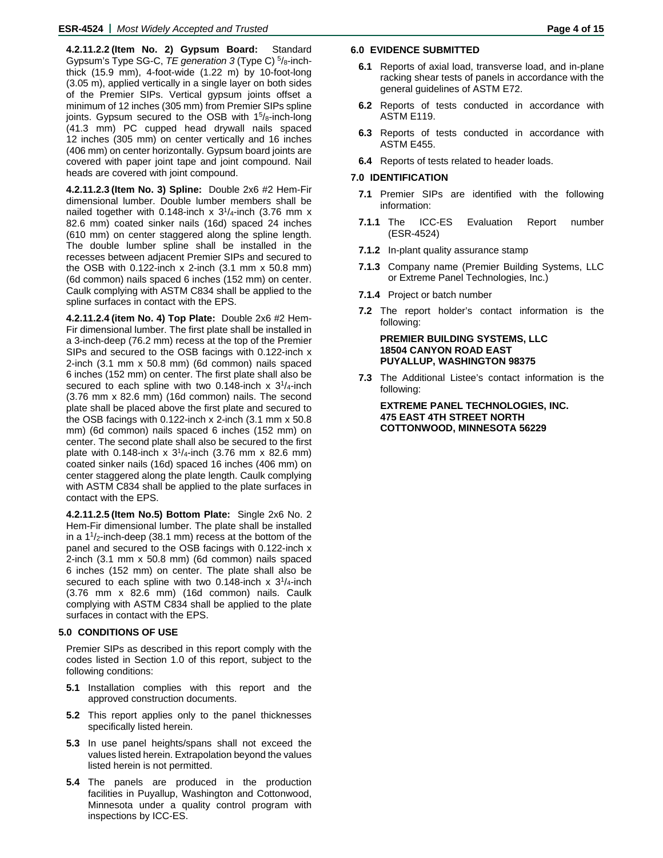**4.2.11.2.2 (Item No. 2) Gypsum Board:** Standard Gypsum's Type SG-C, *TE generation 3* (Type C) 5/8-inchthick (15.9 mm), 4-foot-wide (1.22 m) by 10-foot-long (3.05 m), applied vertically in a single layer on both sides of the Premier SIPs. Vertical gypsum joints offset a minimum of 12 inches (305 mm) from Premier SIPs spline joints. Gypsum secured to the OSB with  $15\frac{1}{8}$ -inch-long (41.3 mm) PC cupped head drywall nails spaced 12 inches (305 mm) on center vertically and 16 inches (406 mm) on center horizontally. Gypsum board joints are covered with paper joint tape and joint compound. Nail heads are covered with joint compound.

**4.2.11.2.3 (Item No. 3) Spline:** Double 2x6 #2 Hem-Fir dimensional lumber. Double lumber members shall be nailed together with 0.148-inch x  $3^{1}/_{4}$ -inch (3.76 mm x 82.6 mm) coated sinker nails (16d) spaced 24 inches (610 mm) on center staggered along the spline length. The double lumber spline shall be installed in the recesses between adjacent Premier SIPs and secured to the OSB with 0.122-inch x 2-inch (3.1 mm x 50.8 mm) (6d common) nails spaced 6 inches (152 mm) on center. Caulk complying with ASTM C834 shall be applied to the spline surfaces in contact with the EPS.

**4.2.11.2.4 (item No. 4) Top Plate:** Double 2x6 #2 Hem-Fir dimensional lumber. The first plate shall be installed in a 3-inch-deep (76.2 mm) recess at the top of the Premier SIPs and secured to the OSB facings with 0.122-inch x 2-inch (3.1 mm x 50.8 mm) (6d common) nails spaced 6 inches (152 mm) on center. The first plate shall also be secured to each spline with two 0.148-inch  $x \frac{3^{1}}{4}$ -inch (3.76 mm x 82.6 mm) (16d common) nails. The second plate shall be placed above the first plate and secured to the OSB facings with  $0.122$ -inch x 2-inch  $(3.1 \text{ mm} \times 50.8)$ mm) (6d common) nails spaced 6 inches (152 mm) on center. The second plate shall also be secured to the first plate with 0.148-inch x  $3^{1}/_{4}$ -inch (3.76 mm x 82.6 mm) coated sinker nails (16d) spaced 16 inches (406 mm) on center staggered along the plate length. Caulk complying with ASTM C834 shall be applied to the plate surfaces in contact with the EPS.

**4.2.11.2.5 (Item No.5) Bottom Plate:** Single 2x6 No. 2 Hem-Fir dimensional lumber. The plate shall be installed in a  $1\frac{1}{2}$ -inch-deep (38.1 mm) recess at the bottom of the panel and secured to the OSB facings with 0.122-inch x 2-inch (3.1 mm x 50.8 mm) (6d common) nails spaced 6 inches (152 mm) on center. The plate shall also be secured to each spline with two 0.148-inch x  $3^{1}/_{4}$ -inch (3.76 mm x 82.6 mm) (16d common) nails. Caulk complying with ASTM C834 shall be applied to the plate surfaces in contact with the EPS.

#### **5.0 CONDITIONS OF USE**

Premier SIPs as described in this report comply with the codes listed in Section 1.0 of this report, subject to the following conditions:

- **5.1** Installation complies with this report and the approved construction documents.
- **5.2** This report applies only to the panel thicknesses specifically listed herein.
- **5.3** In use panel heights/spans shall not exceed the values listed herein. Extrapolation beyond the values listed herein is not permitted.
- **5.4** The panels are produced in the production facilities in Puyallup, Washington and Cottonwood, Minnesota under a quality control program with inspections by ICC-ES.

#### **6.0 EVIDENCE SUBMITTED**

- **6.1** Reports of axial load, transverse load, and in-plane racking shear tests of panels in accordance with the general guidelines of ASTM E72.
- **6.2** Reports of tests conducted in accordance with ASTM E119.
- **6.3** Reports of tests conducted in accordance with ASTM E455.
- **6.4** Reports of tests related to header loads.

# **7.0 IDENTIFICATION**

- **7.1** Premier SIPs are identified with the following information:
- **7.1.1** The ICC-ES Evaluation Report number (ESR-4524)
- **7.1.2** In-plant quality assurance stamp
- **7.1.3** Company name (Premier Building Systems, LLC or Extreme Panel Technologies, Inc.)
- **7.1.4** Project or batch number
- **7.2** The report holder's contact information is the following:

# **PREMIER BUILDING SYSTEMS, LLC 18504 CANYON ROAD EAST PUYALLUP, WASHINGTON 98375**

**7.3** The Additional Listee's contact information is the following:

**EXTREME PANEL TECHNOLOGIES, INC. 475 EAST 4TH STREET NORTH COTTONWOOD, MINNESOTA 56229**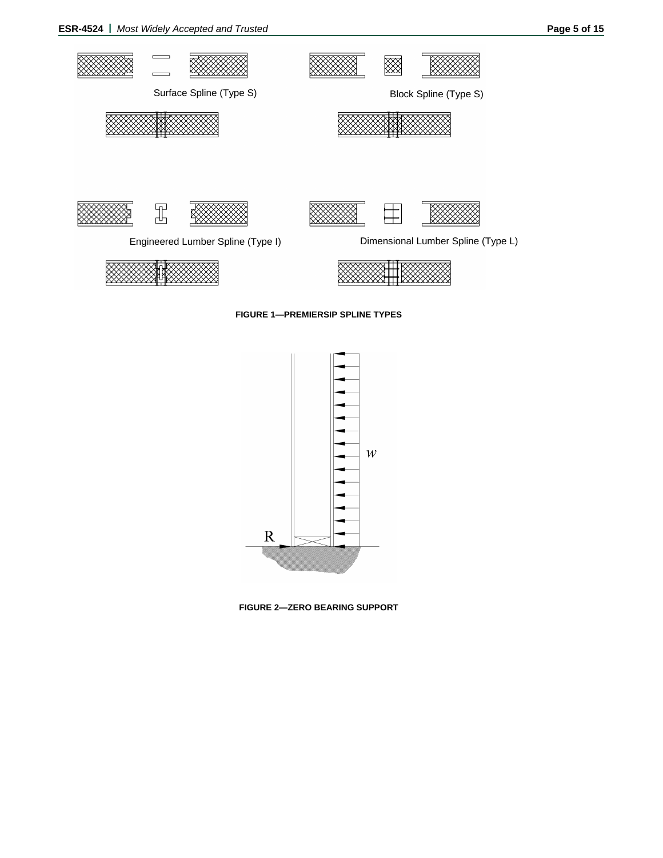



 $\mathbf R$ 

 $\mathcal{W}$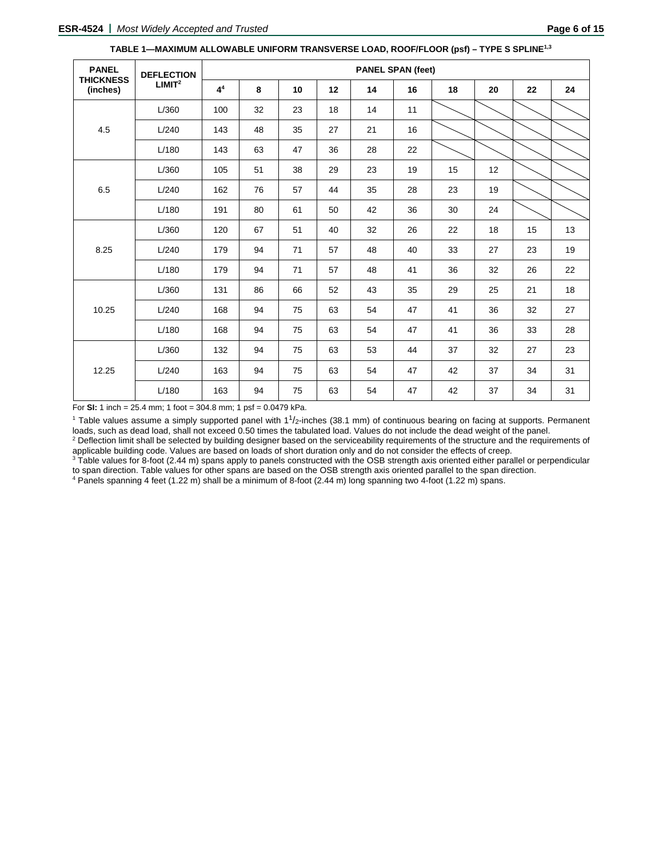| <b>PANEL</b><br><b>THICKNESS</b> | <b>DEFLECTION</b>  | <b>PANEL SPAN (feet)</b> |    |    |    |    |    |    |    |    |    |
|----------------------------------|--------------------|--------------------------|----|----|----|----|----|----|----|----|----|
| (inches)                         | LIMIT <sup>2</sup> | 4 <sup>4</sup>           | 8  | 10 | 12 | 14 | 16 | 18 | 20 | 22 | 24 |
|                                  | L/360              | 100                      | 32 | 23 | 18 | 14 | 11 |    |    |    |    |
| 4.5                              | L/240              | 143                      | 48 | 35 | 27 | 21 | 16 |    |    |    |    |
|                                  | L/180              | 143                      | 63 | 47 | 36 | 28 | 22 |    |    |    |    |
|                                  | L/360              | 105                      | 51 | 38 | 29 | 23 | 19 | 15 | 12 |    |    |
| 6.5                              | L/240              | 162                      | 76 | 57 | 44 | 35 | 28 | 23 | 19 |    |    |
|                                  | L/180              | 191                      | 80 | 61 | 50 | 42 | 36 | 30 | 24 |    |    |
|                                  | L/360              | 120                      | 67 | 51 | 40 | 32 | 26 | 22 | 18 | 15 | 13 |
| 8.25                             | L/240              | 179                      | 94 | 71 | 57 | 48 | 40 | 33 | 27 | 23 | 19 |
|                                  | L/180              | 179                      | 94 | 71 | 57 | 48 | 41 | 36 | 32 | 26 | 22 |
|                                  | L/360              | 131                      | 86 | 66 | 52 | 43 | 35 | 29 | 25 | 21 | 18 |
| 10.25                            | L/240              | 168                      | 94 | 75 | 63 | 54 | 47 | 41 | 36 | 32 | 27 |
|                                  | L/180              | 168                      | 94 | 75 | 63 | 54 | 47 | 41 | 36 | 33 | 28 |
| 12.25                            | L/360              | 132                      | 94 | 75 | 63 | 53 | 44 | 37 | 32 | 27 | 23 |
|                                  | L/240              | 163                      | 94 | 75 | 63 | 54 | 47 | 42 | 37 | 34 | 31 |
|                                  | L/180              | 163                      | 94 | 75 | 63 | 54 | 47 | 42 | 37 | 34 | 31 |

#### **TABLE 1—MAXIMUM ALLOWABLE UNIFORM TRANSVERSE LOAD, ROOF/FLOOR (psf) – TYPE S SPLINE1,3**

For **SI:** 1 inch = 25.4 mm; 1 foot = 304.8 mm; 1 psf = 0.0479 kPa.

<sup>1</sup> Table values assume a simply supported panel with  $1\frac{1}{2}$ -inches (38.1 mm) of continuous bearing on facing at supports. Permanent loads, such as dead load, shall not exceed 0.50 times the tabulated load. Values do not include the dead weight of the panel.

<sup>2</sup> Deflection limit shall be selected by building designer based on the serviceability requirements of the structure and the requirements of applicable building code. Values are based on loads of short duration only and do not consider the effects of creep.

<sup>3</sup> Table values for 8-foot (2.44 m) spans apply to panels constructed with the OSB strength axis oriented either parallel or perpendicular to span direction. Table values for other spans are based on the OSB strength axis oriented parallel to the span direction.<br><sup>4</sup> Panels spanning 4 feet (1.22 m) shall be a minimum of 8-foot (2.44 m) long spanning two 4-foot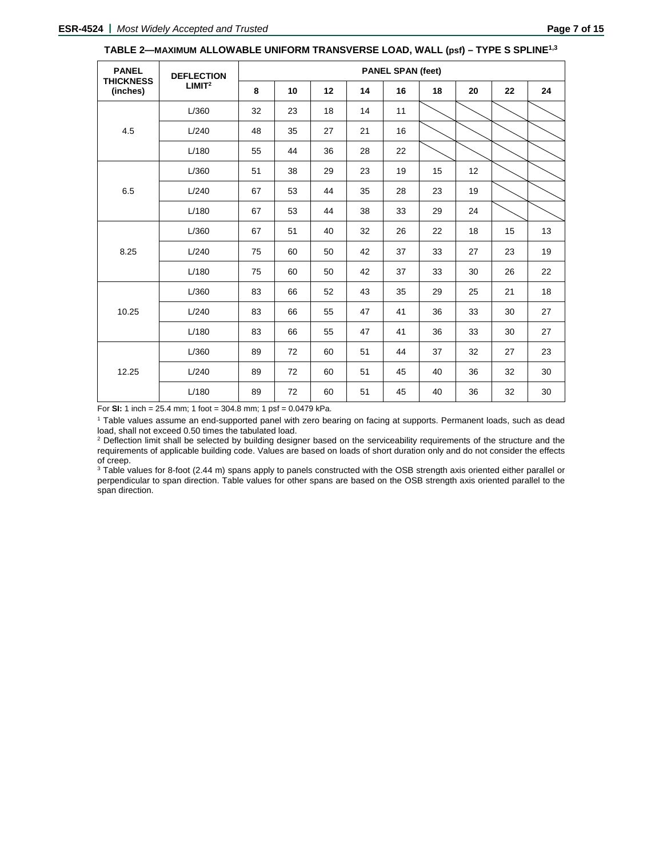| <b>PANEL</b><br><b>THICKNESS</b> | <b>DEFLECTION</b>  |    | <b>PANEL SPAN (feet)</b> |    |    |    |    |    |    |    |  |
|----------------------------------|--------------------|----|--------------------------|----|----|----|----|----|----|----|--|
| (inches)                         | LIMIT <sup>2</sup> | 8  | 10                       | 12 | 14 | 16 | 18 | 20 | 22 | 24 |  |
|                                  | L/360              | 32 | 23                       | 18 | 14 | 11 |    |    |    |    |  |
| 4.5                              | L/240              | 48 | 35                       | 27 | 21 | 16 |    |    |    |    |  |
|                                  | L/180              | 55 | 44                       | 36 | 28 | 22 |    |    |    |    |  |
|                                  | L/360              | 51 | 38                       | 29 | 23 | 19 | 15 | 12 |    |    |  |
| 6.5                              | L/240              | 67 | 53                       | 44 | 35 | 28 | 23 | 19 |    |    |  |
|                                  | L/180              | 67 | 53                       | 44 | 38 | 33 | 29 | 24 |    |    |  |
|                                  | L/360              | 67 | 51                       | 40 | 32 | 26 | 22 | 18 | 15 | 13 |  |
| 8.25                             | L/240              | 75 | 60                       | 50 | 42 | 37 | 33 | 27 | 23 | 19 |  |
|                                  | L/180              | 75 | 60                       | 50 | 42 | 37 | 33 | 30 | 26 | 22 |  |
|                                  | L/360              | 83 | 66                       | 52 | 43 | 35 | 29 | 25 | 21 | 18 |  |
| 10.25                            | L/240              | 83 | 66                       | 55 | 47 | 41 | 36 | 33 | 30 | 27 |  |
|                                  | L/180              | 83 | 66                       | 55 | 47 | 41 | 36 | 33 | 30 | 27 |  |
|                                  | L/360              | 89 | 72                       | 60 | 51 | 44 | 37 | 32 | 27 | 23 |  |
| 12.25                            | L/240              | 89 | 72                       | 60 | 51 | 45 | 40 | 36 | 32 | 30 |  |
|                                  | L/180              | 89 | 72                       | 60 | 51 | 45 | 40 | 36 | 32 | 30 |  |

# **TABLE 2—MAXIMUM ALLOWABLE UNIFORM TRANSVERSE LOAD, WALL (psf) – TYPE S SPLINE1,3**

For **SI:** 1 inch = 25.4 mm; 1 foot = 304.8 mm; 1 psf = 0.0479 kPa.

<sup>1</sup> Table values assume an end-supported panel with zero bearing on facing at supports. Permanent loads, such as dead load, shall not exceed 0.50 times the tabulated load.

 $^2$  Deflection limit shall be selected by building designer based on the serviceability requirements of the structure and the requirements of applicable building code. Values are based on loads of short duration only and do not consider the effects of creep.

<sup>3</sup> Table values for 8-foot (2.44 m) spans apply to panels constructed with the OSB strength axis oriented either parallel or perpendicular to span direction. Table values for other spans are based on the OSB strength axis oriented parallel to the span direction.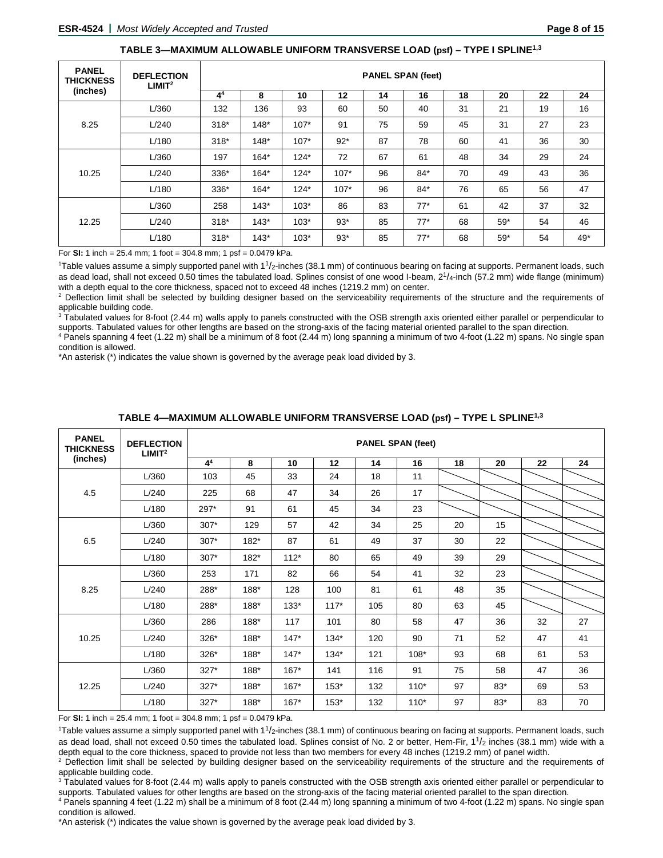# **TABLE 3—MAXIMUM ALLOWABLE UNIFORM TRANSVERSE LOAD (psf) – TYPE I SPLINE1,3**

| <b>PANEL</b><br><b>THICKNESS</b> | <b>DEFLECTION</b><br>LIMIT <sup>2</sup> | <b>PANEL SPAN (feet)</b> |        |        |         |    |       |    |       |    |     |
|----------------------------------|-----------------------------------------|--------------------------|--------|--------|---------|----|-------|----|-------|----|-----|
| (inches)                         |                                         | 4 <sup>4</sup>           | 8      | 10     | $12 \,$ | 14 | 16    | 18 | 20    | 22 | 24  |
|                                  | L/360                                   | 132                      | 136    | 93     | 60      | 50 | 40    | 31 | 21    | 19 | 16  |
| 8.25                             | L/240                                   | $318*$                   | $148*$ | $107*$ | 91      | 75 | 59    | 45 | 31    | 27 | 23  |
|                                  | L/180                                   | $318*$                   | $148*$ | $107*$ | $92*$   | 87 | 78    | 60 | 41    | 36 | 30  |
|                                  | L/360                                   | 197                      | $164*$ | $124*$ | 72      | 67 | 61    | 48 | 34    | 29 | 24  |
| 10.25                            | L/240                                   | 336*                     | $164*$ | $124*$ | $107*$  | 96 | $84*$ | 70 | 49    | 43 | 36  |
|                                  | L/180                                   | 336*                     | $164*$ | $124*$ | $107*$  | 96 | $84*$ | 76 | 65    | 56 | 47  |
|                                  | L/360                                   | 258                      | $143*$ | $103*$ | 86      | 83 | $77*$ | 61 | 42    | 37 | 32  |
| 12.25                            | L/240                                   | $318*$                   | $143*$ | $103*$ | $93*$   | 85 | $77*$ | 68 | $59*$ | 54 | 46  |
|                                  | L/180                                   | $318*$                   | $143*$ | $103*$ | $93*$   | 85 | $77*$ | 68 | $59*$ | 54 | 49* |

For **SI:** 1 inch = 25.4 mm; 1 foot = 304.8 mm; 1 psf = 0.0479 kPa.

<sup>1</sup>Table values assume a simply supported panel with  $11/2$ -inches (38.1 mm) of continuous bearing on facing at supports. Permanent loads, such as dead load, shall not exceed 0.50 times the tabulated load. Splines consist of one wood I-beam,  $2^{1}/4$ -inch (57.2 mm) wide flange (minimum)

with a depth equal to the core thickness, spaced not to exceed 48 inches (1219.2 mm) on center.<br><sup>2</sup> Deflection limit shall be selected by building designer based on the serviceability requirements of the structure and the

applicable building code.<br><sup>3</sup> Tabulated values for 8-foot (2.44 m) walls apply to panels constructed with the OSB strength axis oriented either parallel or perpendicular to<br>supports. Tabulated values for other lengths are

4 Panels spanning 4 feet (1.22 m) shall be a minimum of 8 foot (2.44 m) long spanning a minimum of two 4-foot (1.22 m) spans. No single span condition is allowed.

\*An asterisk (\*) indicates the value shown is governed by the average peak load divided by 3.

| <b>PANEL</b><br><b>THICKNESS</b> | <b>DEFLECTION</b><br>LIMIT <sup>2</sup> | <b>PANEL SPAN (feet)</b> |        |        |        |     |        |    |       |    |    |
|----------------------------------|-----------------------------------------|--------------------------|--------|--------|--------|-----|--------|----|-------|----|----|
| (inches)                         |                                         | 4 <sup>4</sup>           | 8      | 10     | 12     | 14  | 16     | 18 | 20    | 22 | 24 |
|                                  | L/360                                   | 103                      | 45     | 33     | 24     | 18  | 11     |    |       |    |    |
| 4.5                              | L/240                                   | 225                      | 68     | 47     | 34     | 26  | 17     |    |       |    |    |
|                                  | L/180                                   | 297*                     | 91     | 61     | 45     | 34  | 23     |    |       |    |    |
|                                  | L/360                                   | $307*$                   | 129    | 57     | 42     | 34  | 25     | 20 | 15    |    |    |
| 6.5                              | L/240                                   | $307*$                   | $182*$ | 87     | 61     | 49  | 37     | 30 | 22    |    |    |
|                                  | L/180                                   | $307*$                   | $182*$ | $112*$ | 80     | 65  | 49     | 39 | 29    |    |    |
|                                  | L/360                                   | 253                      | 171    | 82     | 66     | 54  | 41     | 32 | 23    |    |    |
| 8.25                             | L/240                                   | 288*                     | 188*   | 128    | 100    | 81  | 61     | 48 | 35    |    |    |
|                                  | L/180                                   | 288*                     | 188*   | $133*$ | $117*$ | 105 | 80     | 63 | 45    |    |    |
|                                  | L/360                                   | 286                      | 188*   | 117    | 101    | 80  | 58     | 47 | 36    | 32 | 27 |
| 10.25                            | L/240                                   | 326*                     | 188*   | $147*$ | $134*$ | 120 | 90     | 71 | 52    | 47 | 41 |
|                                  | L/180                                   | 326*                     | 188*   | $147*$ | $134*$ | 121 | $108*$ | 93 | 68    | 61 | 53 |
|                                  | L/360                                   | $327*$                   | 188*   | $167*$ | 141    | 116 | 91     | 75 | 58    | 47 | 36 |
| 12.25                            | L/240                                   | $327*$                   | 188*   | $167*$ | $153*$ | 132 | $110*$ | 97 | $83*$ | 69 | 53 |
|                                  | L/180                                   | $327*$                   | 188*   | 167*   | $153*$ | 132 | $110*$ | 97 | $83*$ | 83 | 70 |

# **TABLE 4—MAXIMUM ALLOWABLE UNIFORM TRANSVERSE LOAD (psf) – TYPE L SPLINE1,3**

For **SI:** 1 inch = 25.4 mm; 1 foot = 304.8 mm; 1 psf = 0.0479 kPa.

<sup>1</sup>Table values assume a simply supported panel with  $11/2$ -inches (38.1 mm) of continuous bearing on facing at supports. Permanent loads, such as dead load, shall not exceed 0.50 times the tabulated load. Splines consist of No. 2 or better, Hem-Fir,  $1^{1/2}$  inches (38.1 mm) wide with a depth equal to the core thickness, spaced to provide not less than two members for every 48 inches (1219.2 mm) of panel width.<br><sup>2</sup> Deflection limit shall be selected by building designer based on the serviceability require

applicable building code.<br><sup>3</sup> Tabulated values for 8-foot (2.44 m) walls apply to panels constructed with the OSB strength axis oriented either parallel or perpendicular to

supports. Tabulated values for other lengths are based on the strong-axis of the facing material oriented parallel to the span direction.

<sup>4</sup> Panels spanning 4 feet (1.22 m) shall be a minimum of 8 foot (2.44 m) long spanning a minimum of two 4-foot (1.22 m) spans. No single span condition is allowed.

\*An asterisk (\*) indicates the value shown is governed by the average peak load divided by 3.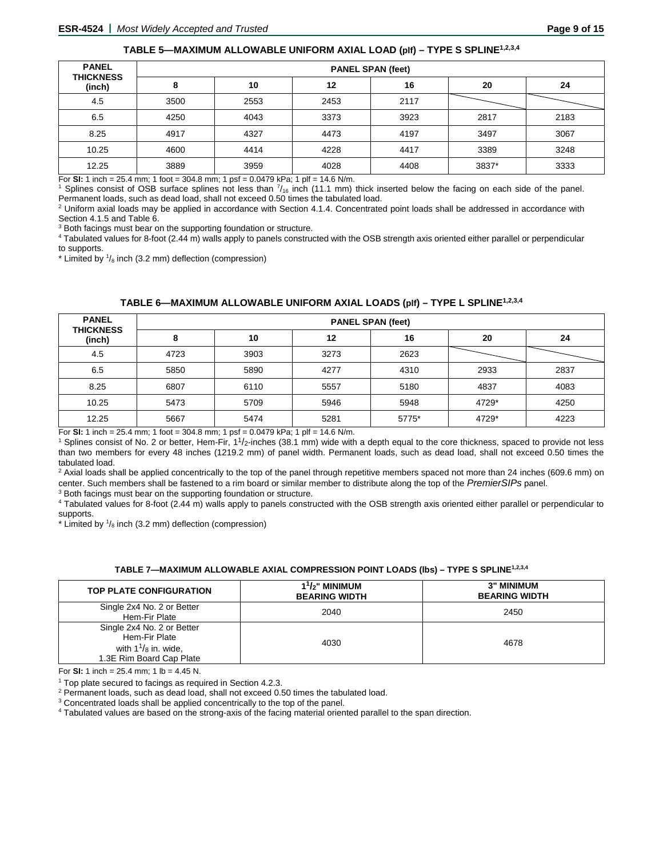#### **TABLE 5—MAXIMUM ALLOWABLE UNIFORM AXIAL LOAD (plf) – TYPE S SPLINE1,2,3,4**

| <b>PANEL</b><br><b>THICKNESS</b> | <b>PANEL SPAN (feet)</b> |      |      |      |       |      |  |  |  |  |
|----------------------------------|--------------------------|------|------|------|-------|------|--|--|--|--|
| (inch)                           | 8                        | 10   | 12   | 16   | 20    | 24   |  |  |  |  |
| 4.5                              | 3500                     | 2553 | 2453 | 2117 |       |      |  |  |  |  |
| 6.5                              | 4250                     | 4043 | 3373 | 3923 | 2817  | 2183 |  |  |  |  |
| 8.25                             | 4917                     | 4327 | 4473 | 4197 | 3497  | 3067 |  |  |  |  |
| 10.25                            | 4600                     | 4414 | 4228 | 4417 | 3389  | 3248 |  |  |  |  |
| 12.25                            | 3889                     | 3959 | 4028 | 4408 | 3837* | 3333 |  |  |  |  |

For **SI:** 1 inch = 25.4 mm; 1 foot = 304.8 mm; 1 psf = 0.0479 kPa; 1 plf = 14.6 N/m.

<sup>1</sup> Splines consist of OSB surface splines not less than  $7/16$  inch (11.1 mm) thick inserted below the facing on each side of the panel. Permanent loads, such as dead load, shall not exceed 0.50 times the tabulated load.

<sup>2</sup> Uniform axial loads may be applied in accordance with Section 4.1.4. Concentrated point loads shall be addressed in accordance with Section 4.1.5 and Table 6.

<sup>3</sup> Both facings must bear on the supporting foundation or structure.

<sup>4</sup> Tabulated values for 8-foot (2.44 m) walls apply to panels constructed with the OSB strength axis oriented either parallel or perpendicular to supports.

\* Limited by  $\frac{1}{8}$  inch (3.2 mm) deflection (compression)

| <b>PANEL</b><br><b>THICKNESS</b> | <b>PANEL SPAN (feet)</b> |      |      |       |       |      |  |  |  |  |
|----------------------------------|--------------------------|------|------|-------|-------|------|--|--|--|--|
| (inch)                           | 8                        | 10   | 12   | 16    | 20    | 24   |  |  |  |  |
| 4.5                              | 4723                     | 3903 | 3273 | 2623  |       |      |  |  |  |  |
| 6.5                              | 5850                     | 5890 | 4277 | 4310  | 2933  | 2837 |  |  |  |  |
| 8.25                             | 6807                     | 6110 | 5557 | 5180  | 4837  | 4083 |  |  |  |  |
| 10.25                            | 5473                     | 5709 | 5946 | 5948  | 4729* | 4250 |  |  |  |  |
| 12.25                            | 5667                     | 5474 | 5281 | 5775* | 4729* | 4223 |  |  |  |  |

#### **TABLE 6—MAXIMUM ALLOWABLE UNIFORM AXIAL LOADS (plf) – TYPE L SPLINE1,2,3,4**

For **SI:** 1 inch = 25.4 mm; 1 foot = 304.8 mm; 1 psf = 0.0479 kPa; 1 plf = 14.6 N/m.

<sup>1</sup> Splines consist of No. 2 or better, Hem-Fir,  $1\frac{1}{2}$ -inches (38.1 mm) wide with a depth equal to the core thickness, spaced to provide not less than two members for every 48 inches (1219.2 mm) of panel width. Permanent loads, such as dead load, shall not exceed 0.50 times the tabulated load.

<sup>2</sup> Axial loads shall be applied concentrically to the top of the panel through repetitive members spaced not more than 24 inches (609.6 mm) on center. Such members shall be fastened to a rim board or similar member to distribute along the top of the *PremierSIPs* panel.

<sup>3</sup> Both facings must bear on the supporting foundation or structure.

<sup>4</sup> Tabulated values for 8-foot (2.44 m) walls apply to panels constructed with the OSB strength axis oriented either parallel or perpendicular to supports.

\* Limited by  $\frac{1}{8}$  inch (3.2 mm) deflection (compression)

| TABLE 7—MAXIMUM ALLOWABLE AXIAL COMPRESSION POINT LOADS (Ibs) – TYPE S SPLINE1.2.3.4 |  |  |
|--------------------------------------------------------------------------------------|--|--|
|--------------------------------------------------------------------------------------|--|--|

| <b>TOP PLATE CONFIGURATION</b>                                                                           | $1^{1}/2$ " MINIMUM<br><b>BEARING WIDTH</b> | <b>3" MINIMUM</b><br><b>BEARING WIDTH</b> |
|----------------------------------------------------------------------------------------------------------|---------------------------------------------|-------------------------------------------|
| Single 2x4 No. 2 or Better<br>Hem-Fir Plate                                                              | 2040                                        | 2450                                      |
| Single 2x4 No. 2 or Better<br>Hem-Fir Plate<br>with $1\frac{1}{8}$ in. wide,<br>1.3E Rim Board Cap Plate | 4030                                        | 4678                                      |

For **SI:** 1 inch = 25.4 mm; 1 lb = 4.45 N.

<sup>1</sup> Top plate secured to facings as required in Section 4.2.3.

<sup>2</sup> Permanent loads, such as dead load, shall not exceed 0.50 times the tabulated load.

<sup>3</sup> Concentrated loads shall be applied concentrically to the top of the panel.

<sup>4</sup> Tabulated values are based on the strong-axis of the facing material oriented parallel to the span direction.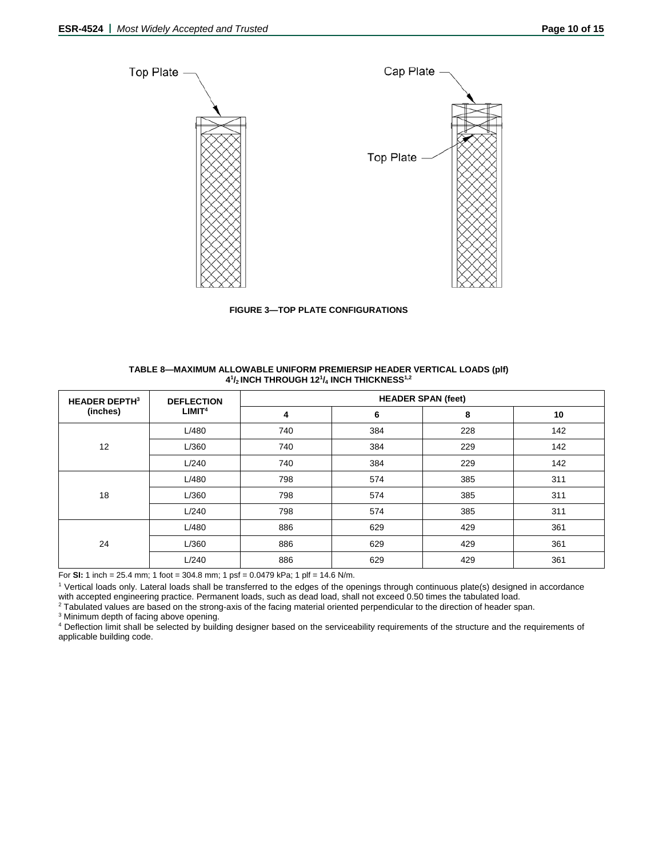

#### **FIGURE 3—TOP PLATE CONFIGURATIONS**

| <b>HEADER DEPTH3</b> | <b>DEFLECTION</b>  |     | <b>HEADER SPAN (feet)</b> |     |     |  |  |  |  |  |
|----------------------|--------------------|-----|---------------------------|-----|-----|--|--|--|--|--|
| (inches)             | LIMIT <sup>4</sup> | 4   | 6                         | 8   | 10  |  |  |  |  |  |
|                      | L/480              | 740 | 384                       | 228 | 142 |  |  |  |  |  |
| 12                   | L/360              | 740 | 384                       | 229 | 142 |  |  |  |  |  |
|                      | L/240              | 740 | 384                       | 229 | 142 |  |  |  |  |  |
|                      | L/480              | 798 | 574                       | 385 | 311 |  |  |  |  |  |
| 18                   | L/360              | 798 | 574                       | 385 | 311 |  |  |  |  |  |
|                      | L/240              | 798 | 574                       | 385 | 311 |  |  |  |  |  |
|                      | L/480              | 886 | 629                       | 429 | 361 |  |  |  |  |  |
| 24                   | L/360              | 886 | 629                       | 429 | 361 |  |  |  |  |  |
|                      | L/240              | 886 | 629                       | 429 | 361 |  |  |  |  |  |

### **TABLE 8—MAXIMUM ALLOWABLE UNIFORM PREMIERSIP HEADER VERTICAL LOADS (plf) 41 /2 INCH THROUGH 121 /4 INCH THICKNESS1,2**

For **SI:** 1 inch = 25.4 mm; 1 foot = 304.8 mm; 1 psf = 0.0479 kPa; 1 plf = 14.6 N/m.

<sup>1</sup> Vertical loads only. Lateral loads shall be transferred to the edges of the openings through continuous plate(s) designed in accordance with accepted engineering practice. Permanent loads, such as dead load, shall not exceed 0.50 times the tabulated load.

<sup>2</sup> Tabulated values are based on the strong-axis of the facing material oriented perpendicular to the direction of header span.

<sup>3</sup> Minimum depth of facing above opening.

<sup>4</sup> Deflection limit shall be selected by building designer based on the serviceability requirements of the structure and the requirements of applicable building code.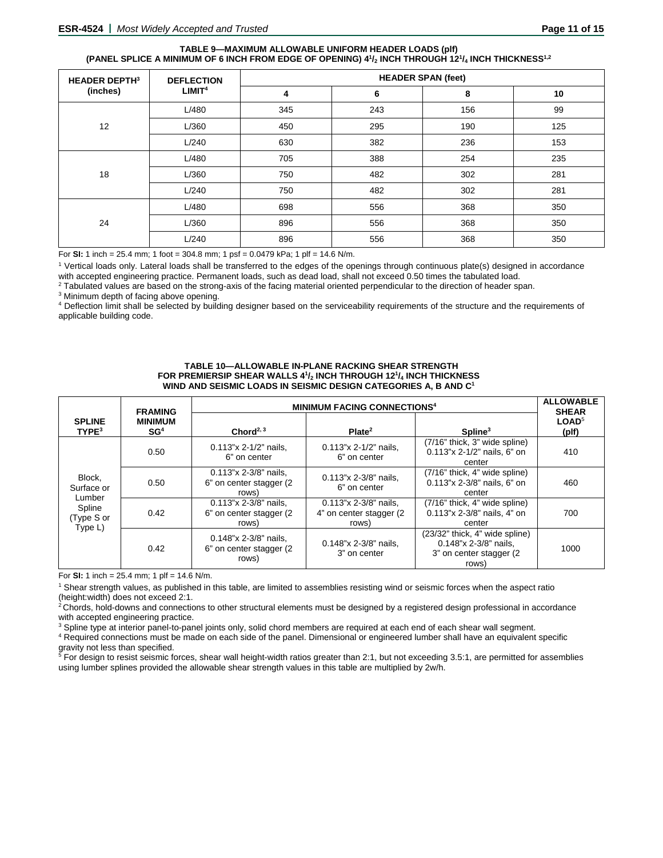### **TABLE 9—MAXIMUM ALLOWABLE UNIFORM HEADER LOADS (plf) (PANEL SPLICE A MINIMUM OF 6 INCH FROM EDGE OF OPENING) 41 /2 INCH THROUGH 121 /4 INCH THICKNESS1,2**

| <b>HEADER DEPTH3</b> | <b>DEFLECTION</b>  |     | <b>HEADER SPAN (feet)</b> |     |     |  |  |  |  |  |
|----------------------|--------------------|-----|---------------------------|-----|-----|--|--|--|--|--|
| (inches)             | LIMIT <sup>4</sup> | 4   | 6                         | 8   | 10  |  |  |  |  |  |
|                      | L/480              | 345 | 243                       | 156 | 99  |  |  |  |  |  |
| 12                   | L/360              | 450 | 295                       | 190 | 125 |  |  |  |  |  |
|                      | L/240              | 630 | 382                       | 236 | 153 |  |  |  |  |  |
|                      | L/480              | 705 | 388                       | 254 | 235 |  |  |  |  |  |
| 18                   | L/360              | 750 | 482                       | 302 | 281 |  |  |  |  |  |
|                      | L/240              | 750 | 482                       | 302 | 281 |  |  |  |  |  |
|                      | L/480              | 698 | 556                       | 368 | 350 |  |  |  |  |  |
| 24                   | L/360              | 896 | 556                       | 368 | 350 |  |  |  |  |  |
|                      | L/240              | 896 | 556                       | 368 | 350 |  |  |  |  |  |

For **SI:** 1 inch = 25.4 mm; 1 foot = 304.8 mm; 1 psf = 0.0479 kPa; 1 plf = 14.6 N/m.

<sup>1</sup> Vertical loads only. Lateral loads shall be transferred to the edges of the openings through continuous plate(s) designed in accordance with accepted engineering practice. Permanent loads, such as dead load, shall not exceed 0.50 times the tabulated load.

<sup>2</sup> Tabulated values are based on the strong-axis of the facing material oriented perpendicular to the direction of header span.

<sup>3</sup> Minimum depth of facing above opening.

<sup>4</sup> Deflection limit shall be selected by building designer based on the serviceability requirements of the structure and the requirements of applicable building code.

#### **TABLE 10—ALLOWABLE IN-PLANE RACKING SHEAR STRENGTH FOR PREMIERSIP SHEAR WALLS 41 /2 INCH THROUGH 121 /4 INCH THICKNESS WIND AND SEISMIC LOADS IN SEISMIC DESIGN CATEGORIES A, B AND C1**

|                                                        | <b>FRAMING</b>                    | <b>MINIMUM FACING CONNECTIONS4</b>                         | <b>ALLOWABLE</b><br><b>SHEAR</b>                           |                                                                                              |                                  |
|--------------------------------------------------------|-----------------------------------|------------------------------------------------------------|------------------------------------------------------------|----------------------------------------------------------------------------------------------|----------------------------------|
| <b>SPLINE</b><br>TYPE <sup>3</sup>                     | <b>MINIMUM</b><br>SG <sup>4</sup> | Chord <sup>2, 3</sup>                                      | Plate <sup>2</sup>                                         | Spline <sup>3</sup>                                                                          | LOAD <sup>5</sup><br>$($ plf $)$ |
| Block,<br>Surface or<br>Lumber<br>Spline<br>(Type S or | 0.50                              | 0.113"x 2-1/2" nails,<br>6" on center                      | $0.113$ "x 2-1/2" nails.<br>6" on center                   | (7/16" thick, 3" wide spline)<br>0.113"x 2-1/2" nails, 6" on<br>center                       | 410                              |
|                                                        | 0.50                              | 0.113"x 2-3/8" nails.<br>6" on center stagger (2)<br>rows) | 0.113"x 2-3/8" nails.<br>6" on center                      | (7/16" thick, 4" wide spline)<br>0.113"x 2-3/8" nails, 6" on<br>center                       | 460                              |
|                                                        | 0.42                              | 0.113"x 2-3/8" nails,<br>6" on center stagger (2)<br>rows) | 0.113"x 2-3/8" nails.<br>4" on center stagger (2)<br>rows) | (7/16" thick, 4" wide spline)<br>0.113"x 2-3/8" nails, 4" on<br>center                       | 700                              |
| Type L)                                                | 0.42                              | 0.148"x 2-3/8" nails.<br>6" on center stagger (2)<br>rows) | 0.148"x 2-3/8" nails,<br>3" on center                      | (23/32" thick, 4" wide spline)<br>0.148"x 2-3/8" nails,<br>3" on center stagger (2)<br>rows) | 1000                             |

For **SI:** 1 inch =  $25.4$  mm; 1 plf =  $14.6$  N/m.

<sup>1</sup> Shear strength values, as published in this table, are limited to assemblies resisting wind or seismic forces when the aspect ratio (height:width) does not exceed 2:1.

<sup>2</sup> Chords, hold-downs and connections to other structural elements must be designed by a registered design professional in accordance with accepted engineering practice.

<sup>3</sup> Spline type at interior panel-to-panel joints only, solid chord members are required at each end of each shear wall segment.

<sup>4</sup> Required connections must be made on each side of the panel. Dimensional or engineered lumber shall have an equivalent specific gravity not less than specified.

<sup>5</sup> For design to resist seismic forces, shear wall height-width ratios greater than 2:1, but not exceeding 3.5:1, are permitted for assemblies using lumber splines provided the allowable shear strength values in this table are multiplied by 2w/h.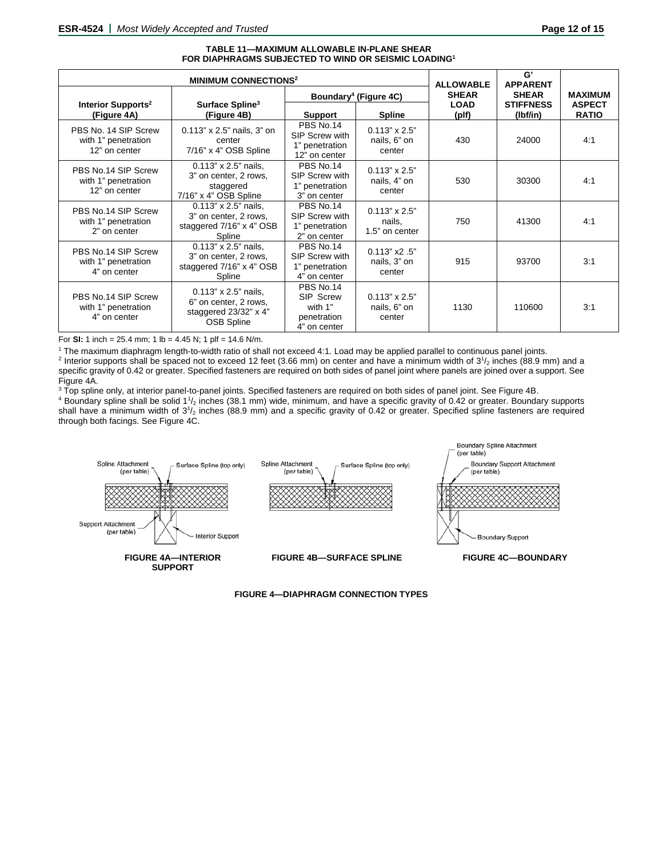# **TABLE 11—MAXIMUM ALLOWABLE IN-PLANE SHEAR FOR DIAPHRAGMS SUBJECTED TO WIND OR SEISMIC LOADING1**

|                                                              | <b>MINIMUM CONNECTIONS<sup>2</sup></b>                                                             |                                                                  | <b>ALLOWABLE</b>                                 | G'<br><b>APPARENT</b>      |                              |                               |
|--------------------------------------------------------------|----------------------------------------------------------------------------------------------------|------------------------------------------------------------------|--------------------------------------------------|----------------------------|------------------------------|-------------------------------|
|                                                              |                                                                                                    |                                                                  | Boundary <sup>4</sup> (Figure 4C)                | <b>SHEAR</b>               | <b>SHEAR</b>                 | <b>MAXIMUM</b>                |
| Interior Supports <sup>2</sup><br>(Figure 4A)                | Surface Spline <sup>3</sup><br>(Figure 4B)                                                         | <b>Support</b>                                                   | <b>Spline</b>                                    | <b>LOAD</b><br>$($ plf $)$ | <b>STIFFNESS</b><br>(Ibf/in) | <b>ASPECT</b><br><b>RATIO</b> |
| PBS No. 14 SIP Screw<br>with 1" penetration<br>12" on center | 0.113" x 2.5" nails, 3" on<br>center<br>7/16" x 4" OSB Spline                                      | PBS No.14<br>SIP Screw with<br>1" penetration<br>12" on center   | $0.113" \times 2.5"$<br>nails, 6" on<br>center   | 430                        | 24000                        | 4:1                           |
| PBS No.14 SIP Screw<br>with 1" penetration<br>12" on center  | $0.113" \times 2.5"$ nails,<br>3" on center, 2 rows,<br>staggered<br>7/16" x 4" OSB Spline         | PBS No.14<br>SIP Screw with<br>1" penetration<br>3" on center    | $0.113" \times 2.5"$<br>nails, 4" on<br>center   | 530                        | 30300                        | 4:1                           |
| PBS No.14 SIP Screw<br>with 1" penetration<br>2" on center   | $0.113" \times 2.5"$ nails,<br>3" on center, 2 rows,<br>staggered 7/16" x 4" OSB<br>Spline         | PBS No.14<br>SIP Screw with<br>1" penetration<br>2" on center    | $0.113" \times 2.5"$<br>nails,<br>1.5" on center | 750                        | 41300                        | 4:1                           |
| PBS No.14 SIP Screw<br>with 1" penetration<br>4" on center   | $0.113" \times 2.5"$ nails,<br>3" on center, 2 rows,<br>staggered 7/16" x 4" OSB<br>Spline         | PBS No.14<br>SIP Screw with<br>1" penetration<br>4" on center    | $0.113"$ x2.5"<br>nails, 3" on<br>center         | 915                        | 93700                        | 3:1                           |
| PBS No.14 SIP Screw<br>with 1" penetration<br>4" on center   | $0.113" \times 2.5"$ nails,<br>6" on center, 2 rows,<br>staggered 23/32" x 4"<br><b>OSB Spline</b> | PBS No.14<br>SIP Screw<br>with 1"<br>penetration<br>4" on center | $0.113" \times 2.5"$<br>nails, 6" on<br>center   | 1130                       | 110600                       | 3:1                           |

For **SI:** 1 inch = 25.4 mm; 1 lb = 4.45 N; 1 plf = 14.6 N/m.

<sup>1</sup> The maximum diaphragm length-to-width ratio of shall not exceed 4:1. Load may be applied parallel to continuous panel joints.

 $^2$  Interior supports shall be spaced not to exceed 12 feet (3.66 mm) on center and have a minimum width of  $3\frac{1}{2}$  inches (88.9 mm) and a specific gravity of 0.42 or greater. Specified fasteners are required on both sides of panel joint where panels are joined over a support. See Figure 4A.

 $3$  Top spline only, at interior panel-to-panel joints. Specified fasteners are required on both sides of panel joint. See Figure 4B.

 $^4$  Boundary spline shall be solid 1<sup>1</sup>/<sub>2</sub> inches (38.1 mm) wide, minimum, and have a specific gravity of 0.42 or greater. Boundary supports shall have a minimum width of  $3^{1}/_2$  inches (88.9 mm) and a specific gravity of 0.42 or greater. Specified spline fasteners are required through both facings. See Figure 4C.



**FIGURE 4—DIAPHRAGM CONNECTION TYPES**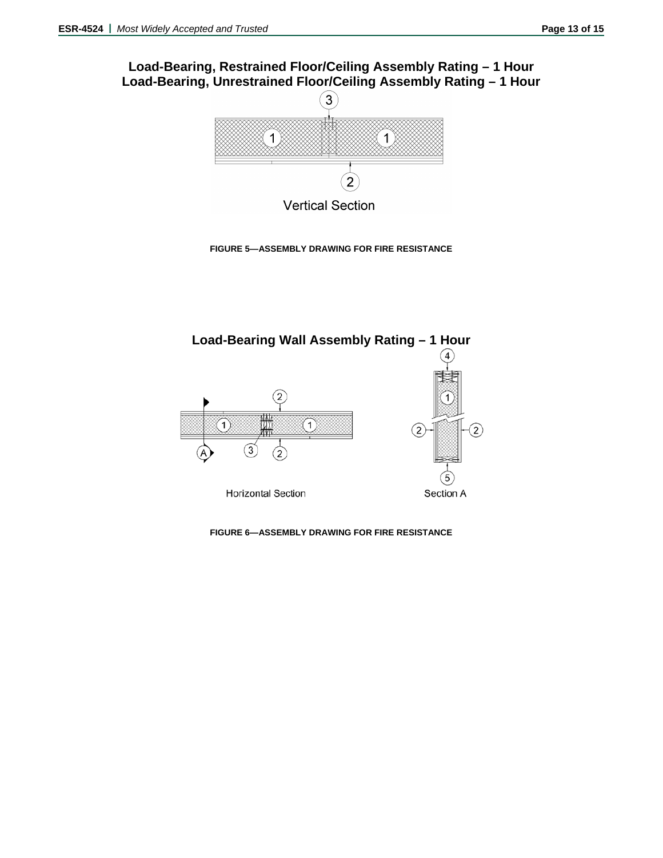

**Load-Bearing, Restrained Floor/Ceiling Assembly Rating – 1 Hour Load-Bearing, Unrestrained Floor/Ceiling Assembly Rating – 1 Hour**

**FIGURE 6—ASSEMBLY DRAWING FOR FIRE RESISTANCE**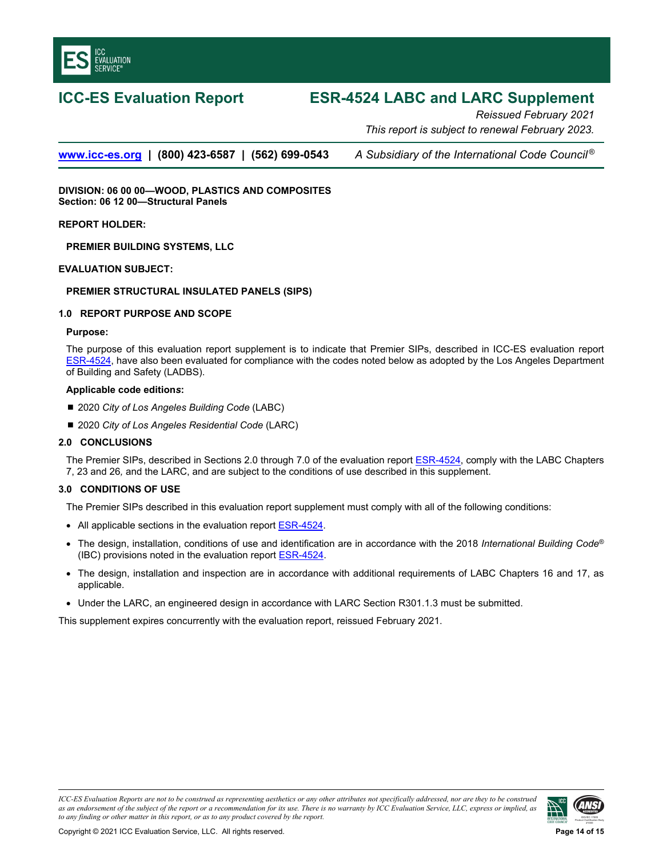<span id="page-13-0"></span>

# **ICC-ES Evaluation Report ESR-4524 LABC and LARC Supplement**

*Reissued February 2021 This report is subject to renewal February 2023.* 

**[www.icc-es.org](http://www.icc-es.org/) | (800) 423-6587 | (562) 699-0543** *A Subsidiary of the International Code Council ®*

**DIVISION: 06 00 00—WOOD, PLASTICS AND COMPOSITES Section: 06 12 00—Structural Panels** 

**REPORT HOLDER:** 

**PREMIER BUILDING SYSTEMS, LLC** 

**EVALUATION SUBJECT:** 

# **PREMIER STRUCTURAL INSULATED PANELS (SIPS)**

# **1.0 REPORT PURPOSE AND SCOPE**

#### **Purpose:**

The purpose of this evaluation report supplement is to indicate that Premier SIPs, described in ICC-ES evaluation report [ESR-4524,](#page-0-0) have also been evaluated for compliance with the codes noted below as adopted by the Los Angeles Department of Building and Safety (LADBS).

# **Applicable code edition***s***:**

- 2020 *City of Los Angeles Building Code* (LABC)
- 2020 *City of Los Angeles Residential Code* (LARC)

# **2.0 CONCLUSIONS**

The Premier SIPs, described in Sections 2.0 through 7.0 of the evaluation repor[t ESR-4524,](#page-0-0) comply with the LABC Chapters 7, 23 and 26*,* and the LARC, and are subject to the conditions of use described in this supplement.

# **3.0 CONDITIONS OF USE**

The Premier SIPs described in this evaluation report supplement must comply with all of the following conditions:

- All applicable sections in the evaluation report ESR-4524.
- The design, installation, conditions of use and identification are in accordance with the 2018 *International Building Code*® (IBC) provisions noted in the evaluation repor[t ESR-4524.](#page-0-0)
- The design, installation and inspection are in accordance with additional requirements of LABC Chapters 16 and 17, as applicable.
- Under the LARC, an engineered design in accordance with LARC Section R301.1.3 must be submitted.

This supplement expires concurrently with the evaluation report, reissued February 2021.